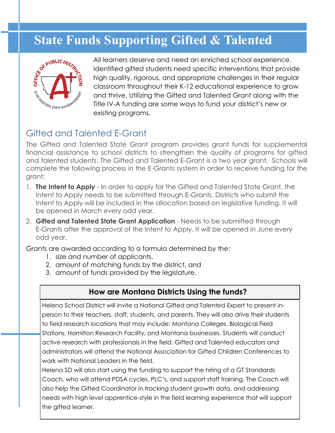

All learners deserve and need an enriched school experience. Identified gifted students need specific interventions that provide high quality, rigorous, and appropriate challenges in their regular classroom throughout their K-12 educational experience to grow and thrive. Utilizing the Gifted and Talented Grant along with the Title IV-A funding are some ways to fund your district's new or existing programs. State Funds Supporting Gifted & Talented<br>
NIII learners deserve and need an enriched school experience<br>  $\frac{e^{6x}}{5}$ 

## Gifted and Talented E-Grant

The Gifted and Talented State Grant program provides grant funds for supplemental financial assistance to school districts to strengthen the quality of programs for gifted and talented students. The Gifted and Talented E-Grant is a two year grant. Schools will complete the following process in the E-Grants system in order to receive funding for the grant:

- 1. **The Intent to Apply** In order to apply for the Gifted and Talented State Grant, the Intent to Apply needs to be submitted through E-Grants. Districts who submit the Intent to Apply will be included in the allocation based on legislative funding. It will be opened in March every odd year.
- 2. **Gifted and Talented State Grant Application** Needs to be submitted through E-Grants after the approval of the Intent to Apply. It will be opened in June every odd year.

Grants are awarded according to a formula determined by the:

- 1. size and number of applicants,
- 2. amount of matching funds by the district, and
- 3. amount of funds provided by the legislature.

## **How are Montana Districts Using the funds?**

Helena School District will invite a National Gifted and Talented Expert to present inperson to their teachers, staff, students, and parents. They will also drive their students to field research locations that may include: Montana Colleges, Biological Field Stations, Hamilton Research Facility, and Montana businesses. Students will conduct active research with professionals in the field. Gifted and Talented educators and administrators will attend the National Association for Gifted Children Conferences to work with National Leaders in the field.

Helena SD will also start using the funding to support the hiring of a GT Standards Coach, who will attend PDSA cycles, PLC's, and support staff training. The Coach will also help the Gifted Coordinator in tracking student growth data, and addressing needs with high level apprentice-style in the field learning experience that will support the gifted learner.